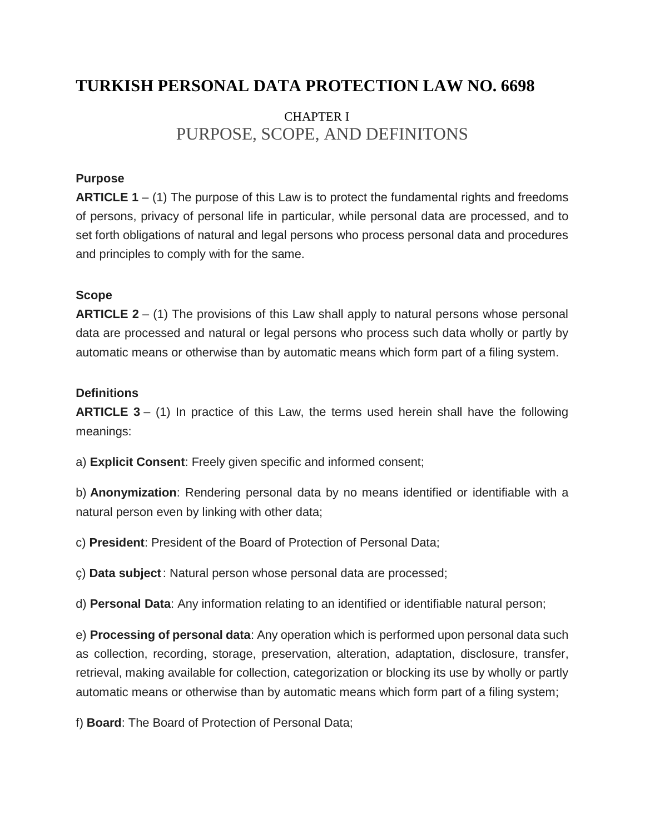# **TURKISH PERSONAL DATA PROTECTION LAW NO. 6698**

# CHAPTER I PURPOSE, SCOPE, AND DEFINITONS

### **Purpose**

**ARTICLE 1** – (1) The purpose of this Law is to protect the fundamental rights and freedoms of persons, privacy of personal life in particular, while personal data are processed, and to set forth obligations of natural and legal persons who process personal data and procedures and principles to comply with for the same.

### **Scope**

**ARTICLE 2** – (1) The provisions of this Law shall apply to natural persons whose personal data are processed and natural or legal persons who process such data wholly or partly by automatic means or otherwise than by automatic means which form part of a filing system.

#### **Definitions**

**ARTICLE 3** – (1) In practice of this Law, the terms used herein shall have the following meanings:

a) **Explicit Consent**: Freely given specific and informed consent;

b) **Anonymization**: Rendering personal data by no means identified or identifiable with a natural person even by linking with other data;

c) **President**: President of the Board of Protection of Personal Data;

ç) **Data subject**: Natural person whose personal data are processed;

d) **Personal Data**: Any information relating to an identified or identifiable natural person;

e) **Processing of personal data**: Any operation which is performed upon personal data such as collection, recording, storage, preservation, alteration, adaptation, disclosure, transfer, retrieval, making available for collection, categorization or blocking its use by wholly or partly automatic means or otherwise than by automatic means which form part of a filing system;

f) **Board**: The Board of Protection of Personal Data;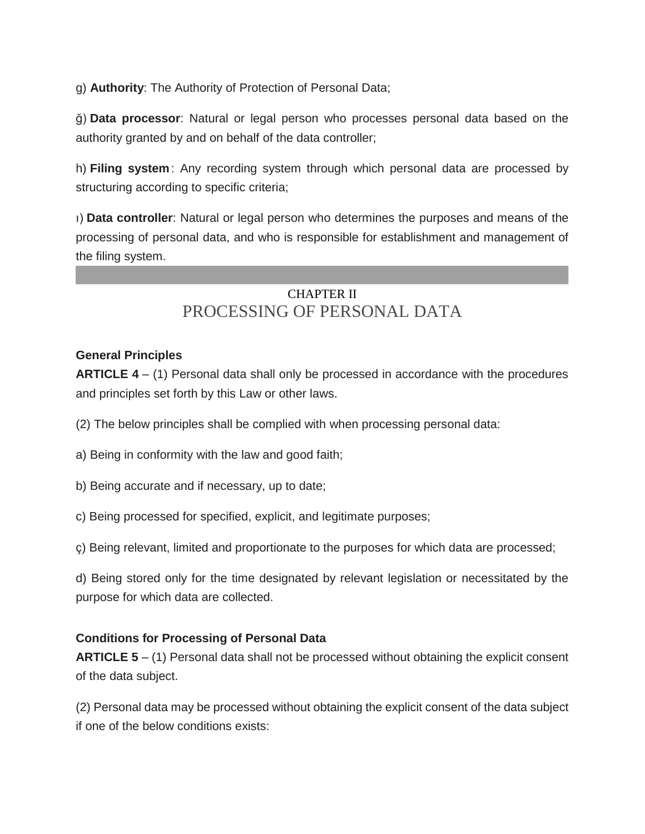g) **Authority**: The Authority of Protection of Personal Data;

ğ) **Data processor**: Natural or legal person who processes personal data based on the authority granted by and on behalf of the data controller;

h) **Filing system**: Any recording system through which personal data are processed by structuring according to specific criteria;

ı) **Data controller**: Natural or legal person who determines the purposes and means of the processing of personal data, and who is responsible for establishment and management of the filing system.

# CHAPTER II PROCESSING OF PERSONAL DATA

### **General Principles**

**ARTICLE 4** – (1) Personal data shall only be processed in accordance with the procedures and principles set forth by this Law or other laws.

- (2) The below principles shall be complied with when processing personal data:
- a) Being in conformity with the law and good faith;
- b) Being accurate and if necessary, up to date;
- c) Being processed for specified, explicit, and legitimate purposes;
- ç) Being relevant, limited and proportionate to the purposes for which data are processed;

d) Being stored only for the time designated by relevant legislation or necessitated by the purpose for which data are collected.

### **Conditions for Processing of Personal Data**

**ARTICLE 5** – (1) Personal data shall not be processed without obtaining the explicit consent of the data subject.

(2) Personal data may be processed without obtaining the explicit consent of the data subject if one of the below conditions exists: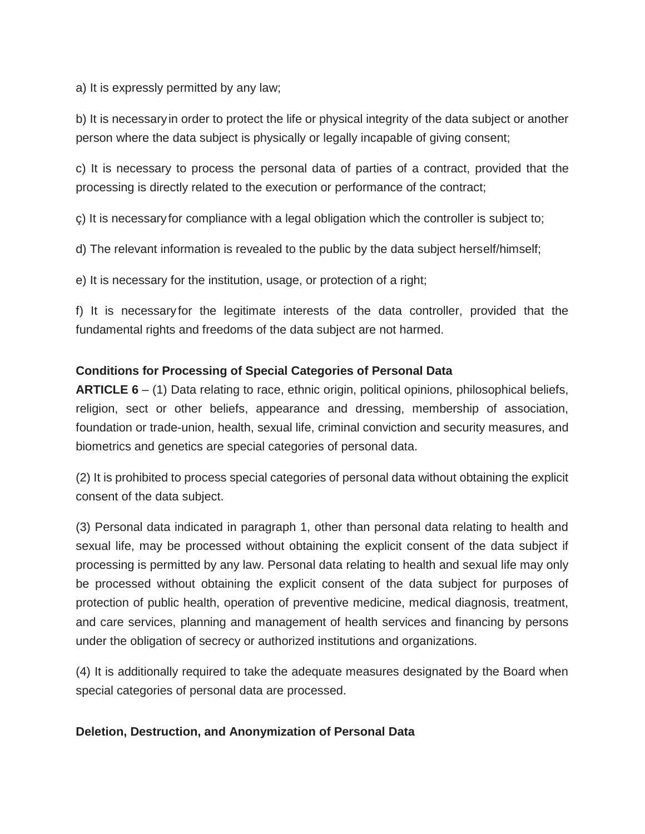a) It is expressly permitted by any law;

b) It is necessary in order to protect the life or physical integrity of the data subject or another person where the data subject is physically or legally incapable of giving consent;

c) It is necessary to process the personal data of parties of a contract, provided that the processing is directly related to the execution or performance of the contract;

ç) It is necessary for compliance with a legal obligation which the controller is subject to;

d) The relevant information is revealed to the public by the data subject herself/himself;

e) It is necessary for the institution, usage, or protection of a right;

f) It is necessary for the legitimate interests of the data controller, provided that the fundamental rights and freedoms of the data subject are not harmed.

### **Conditions for Processing of Special Categories of Personal Data**

**ARTICLE 6** – (1) Data relating to race, ethnic origin, political opinions, philosophical beliefs, religion, sect or other beliefs, appearance and dressing, membership of association, foundation or trade-union, health, sexual life, criminal conviction and security measures, and biometrics and genetics are special categories of personal data.

(2) It is prohibited to process special categories of personal data without obtaining the explicit consent of the data subject.

(3) Personal data indicated in paragraph 1, other than personal data relating to health and sexual life, may be processed without obtaining the explicit consent of the data subject if processing is permitted by any law. Personal data relating to health and sexual life may only be processed without obtaining the explicit consent of the data subject for purposes of protection of public health, operation of preventive medicine, medical diagnosis, treatment, and care services, planning and management of health services and financing by persons under the obligation of secrecy or authorized institutions and organizations.

(4) It is additionally required to take the adequate measures designated by the Board when special categories of personal data are processed.

#### **Deletion, Destruction, and Anonymization of Personal Data**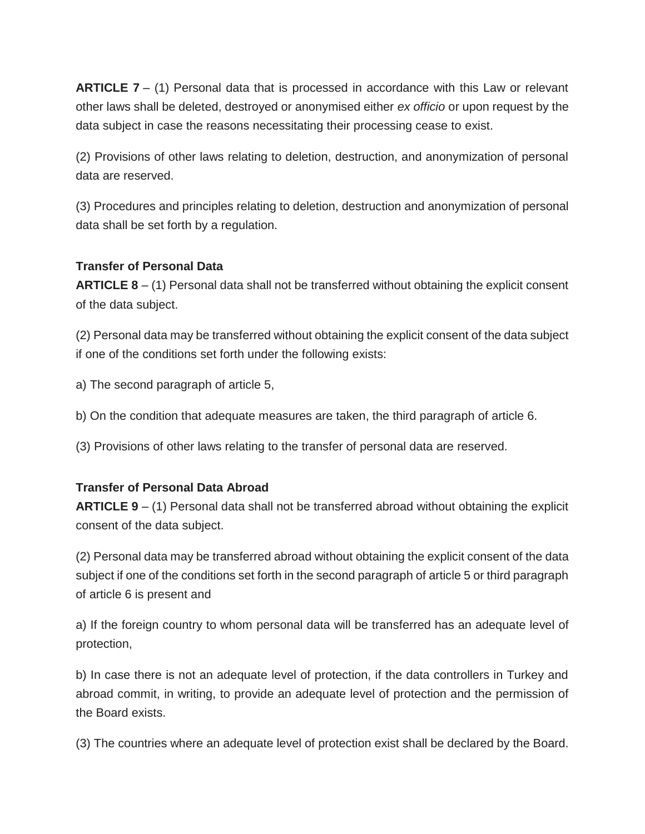**ARTICLE 7** – (1) Personal data that is processed in accordance with this Law or relevant other laws shall be deleted, destroyed or anonymised either *ex officio* or upon request by the data subject in case the reasons necessitating their processing cease to exist.

(2) Provisions of other laws relating to deletion, destruction, and anonymization of personal data are reserved.

(3) Procedures and principles relating to deletion, destruction and anonymization of personal data shall be set forth by a regulation.

#### **Transfer of Personal Data**

**ARTICLE 8** – (1) Personal data shall not be transferred without obtaining the explicit consent of the data subject.

(2) Personal data may be transferred without obtaining the explicit consent of the data subject if one of the conditions set forth under the following exists:

a) The second paragraph of article 5,

b) On the condition that adequate measures are taken, the third paragraph of article 6.

(3) Provisions of other laws relating to the transfer of personal data are reserved.

### **Transfer of Personal Data Abroad**

**ARTICLE 9** – (1) Personal data shall not be transferred abroad without obtaining the explicit consent of the data subject.

(2) Personal data may be transferred abroad without obtaining the explicit consent of the data subject if one of the conditions set forth in the second paragraph of article 5 or third paragraph of article 6 is present and

a) If the foreign country to whom personal data will be transferred has an adequate level of protection,

b) In case there is not an adequate level of protection, if the data controllers in Turkey and abroad commit, in writing, to provide an adequate level of protection and the permission of the Board exists.

(3) The countries where an adequate level of protection exist shall be declared by the Board.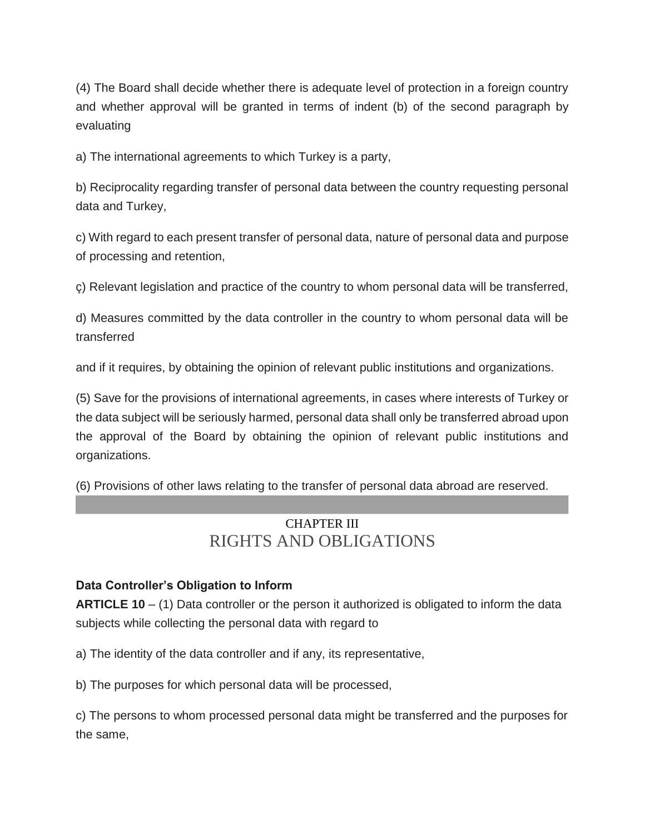(4) The Board shall decide whether there is adequate level of protection in a foreign country and whether approval will be granted in terms of indent (b) of the second paragraph by evaluating

a) The international agreements to which Turkey is a party,

b) Reciprocality regarding transfer of personal data between the country requesting personal data and Turkey,

c) With regard to each present transfer of personal data, nature of personal data and purpose of processing and retention,

ç) Relevant legislation and practice of the country to whom personal data will be transferred,

d) Measures committed by the data controller in the country to whom personal data will be transferred

and if it requires, by obtaining the opinion of relevant public institutions and organizations.

(5) Save for the provisions of international agreements, in cases where interests of Turkey or the data subject will be seriously harmed, personal data shall only be transferred abroad upon the approval of the Board by obtaining the opinion of relevant public institutions and organizations.

(6) Provisions of other laws relating to the transfer of personal data abroad are reserved.

# CHAPTER III RIGHTS AND OBLIGATIONS

### **Data Controller's Obligation to Inform**

**ARTICLE 10** – (1) Data controller or the person it authorized is obligated to inform the data subjects while collecting the personal data with regard to

a) The identity of the data controller and if any, its representative,

b) The purposes for which personal data will be processed,

c) The persons to whom processed personal data might be transferred and the purposes for the same,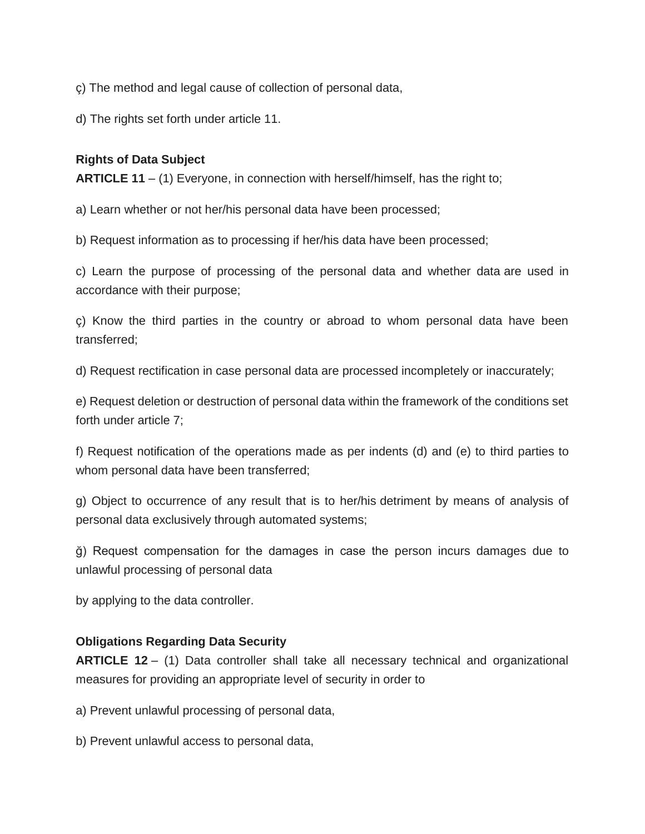ç) The method and legal cause of collection of personal data,

d) The rights set forth under article 11.

## **Rights of Data Subject**

**ARTICLE 11** – (1) Everyone, in connection with herself/himself, has the right to;

a) Learn whether or not her/his personal data have been processed;

b) Request information as to processing if her/his data have been processed;

c) Learn the purpose of processing of the personal data and whether data are used in accordance with their purpose;

ç) Know the third parties in the country or abroad to whom personal data have been transferred;

d) Request rectification in case personal data are processed incompletely or inaccurately;

e) Request deletion or destruction of personal data within the framework of the conditions set forth under article 7;

f) Request notification of the operations made as per indents (d) and (e) to third parties to whom personal data have been transferred;

g) Object to occurrence of any result that is to her/his detriment by means of analysis of personal data exclusively through automated systems;

ğ) Request compensation for the damages in case the person incurs damages due to unlawful processing of personal data

by applying to the data controller.

### **Obligations Regarding Data Security**

**ARTICLE 12** – (1) Data controller shall take all necessary technical and organizational measures for providing an appropriate level of security in order to

a) Prevent unlawful processing of personal data,

b) Prevent unlawful access to personal data,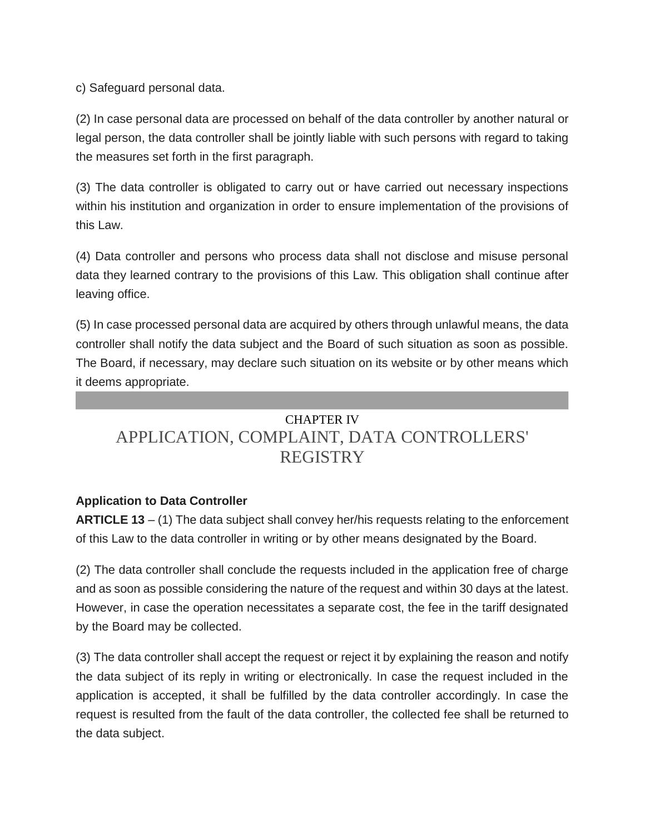c) Safeguard personal data.

(2) In case personal data are processed on behalf of the data controller by another natural or legal person, the data controller shall be jointly liable with such persons with regard to taking the measures set forth in the first paragraph.

(3) The data controller is obligated to carry out or have carried out necessary inspections within his institution and organization in order to ensure implementation of the provisions of this Law.

(4) Data controller and persons who process data shall not disclose and misuse personal data they learned contrary to the provisions of this Law. This obligation shall continue after leaving office.

(5) In case processed personal data are acquired by others through unlawful means, the data controller shall notify the data subject and the Board of such situation as soon as possible. The Board, if necessary, may declare such situation on its website or by other means which it deems appropriate.

# CHAPTER IV APPLICATION, COMPLAINT, DATA CONTROLLERS' REGISTRY

# **Application to Data Controller**

**ARTICLE 13** – (1) The data subject shall convey her/his requests relating to the enforcement of this Law to the data controller in writing or by other means designated by the Board.

(2) The data controller shall conclude the requests included in the application free of charge and as soon as possible considering the nature of the request and within 30 days at the latest. However, in case the operation necessitates a separate cost, the fee in the tariff designated by the Board may be collected.

(3) The data controller shall accept the request or reject it by explaining the reason and notify the data subject of its reply in writing or electronically. In case the request included in the application is accepted, it shall be fulfilled by the data controller accordingly. In case the request is resulted from the fault of the data controller, the collected fee shall be returned to the data subject.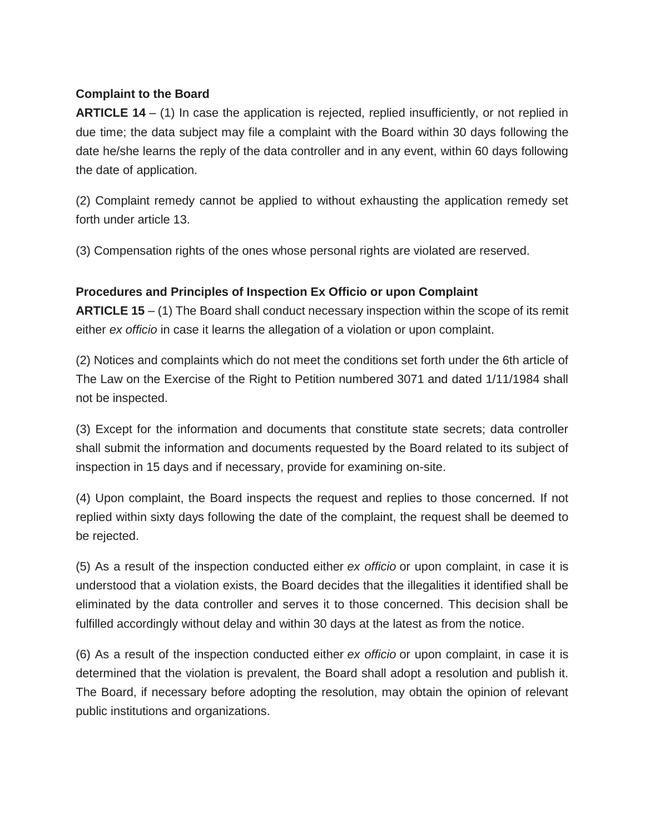#### **Complaint to the Board**

**ARTICLE 14** – (1) In case the application is rejected, replied insufficiently, or not replied in due time; the data subject may file a complaint with the Board within 30 days following the date he/she learns the reply of the data controller and in any event, within 60 days following the date of application.

(2) Complaint remedy cannot be applied to without exhausting the application remedy set forth under article 13.

(3) Compensation rights of the ones whose personal rights are violated are reserved.

#### **Procedures and Principles of Inspection Ex Officio or upon Complaint**

**ARTICLE 15** – (1) The Board shall conduct necessary inspection within the scope of its remit either *ex officio* in case it learns the allegation of a violation or upon complaint.

(2) Notices and complaints which do not meet the conditions set forth under the 6th article of The Law on the Exercise of the Right to Petition numbered 3071 and dated 1/11/1984 shall not be inspected.

(3) Except for the information and documents that constitute state secrets; data controller shall submit the information and documents requested by the Board related to its subject of inspection in 15 days and if necessary, provide for examining on-site.

(4) Upon complaint, the Board inspects the request and replies to those concerned. If not replied within sixty days following the date of the complaint, the request shall be deemed to be rejected.

(5) As a result of the inspection conducted either *ex officio* or upon complaint, in case it is understood that a violation exists, the Board decides that the illegalities it identified shall be eliminated by the data controller and serves it to those concerned. This decision shall be fulfilled accordingly without delay and within 30 days at the latest as from the notice.

(6) As a result of the inspection conducted either *ex officio* or upon complaint, in case it is determined that the violation is prevalent, the Board shall adopt a resolution and publish it. The Board, if necessary before adopting the resolution, may obtain the opinion of relevant public institutions and organizations.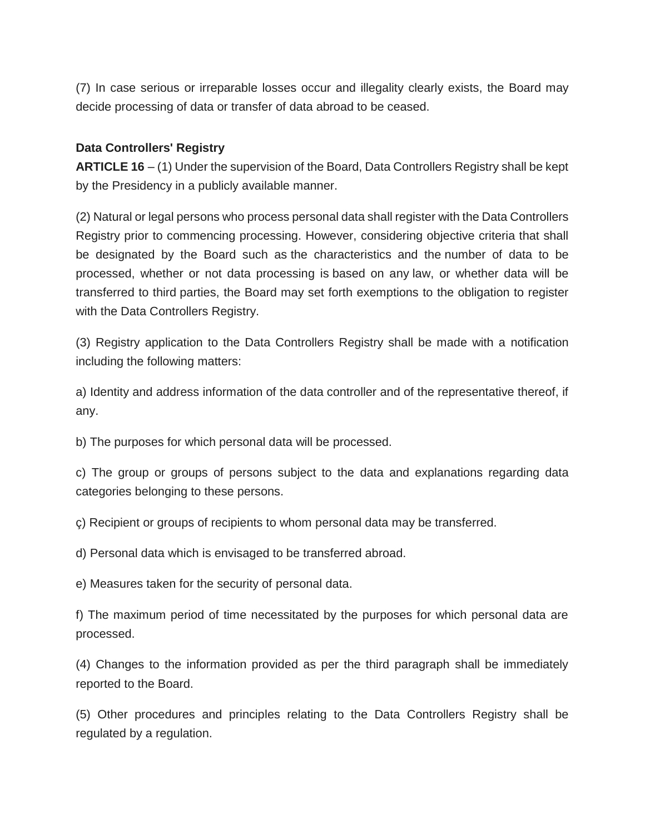(7) In case serious or irreparable losses occur and illegality clearly exists, the Board may decide processing of data or transfer of data abroad to be ceased.

### **Data Controllers' Registry**

**ARTICLE 16** – (1) Under the supervision of the Board, Data Controllers Registry shall be kept by the Presidency in a publicly available manner.

(2) Natural or legal persons who process personal data shall register with the Data Controllers Registry prior to commencing processing. However, considering objective criteria that shall be designated by the Board such as the characteristics and the number of data to be processed, whether or not data processing is based on any law, or whether data will be transferred to third parties, the Board may set forth exemptions to the obligation to register with the Data Controllers Registry.

(3) Registry application to the Data Controllers Registry shall be made with a notification including the following matters:

a) Identity and address information of the data controller and of the representative thereof, if any.

b) The purposes for which personal data will be processed.

c) The group or groups of persons subject to the data and explanations regarding data categories belonging to these persons.

ç) Recipient or groups of recipients to whom personal data may be transferred.

d) Personal data which is envisaged to be transferred abroad.

e) Measures taken for the security of personal data.

f) The maximum period of time necessitated by the purposes for which personal data are processed.

(4) Changes to the information provided as per the third paragraph shall be immediately reported to the Board.

(5) Other procedures and principles relating to the Data Controllers Registry shall be regulated by a regulation.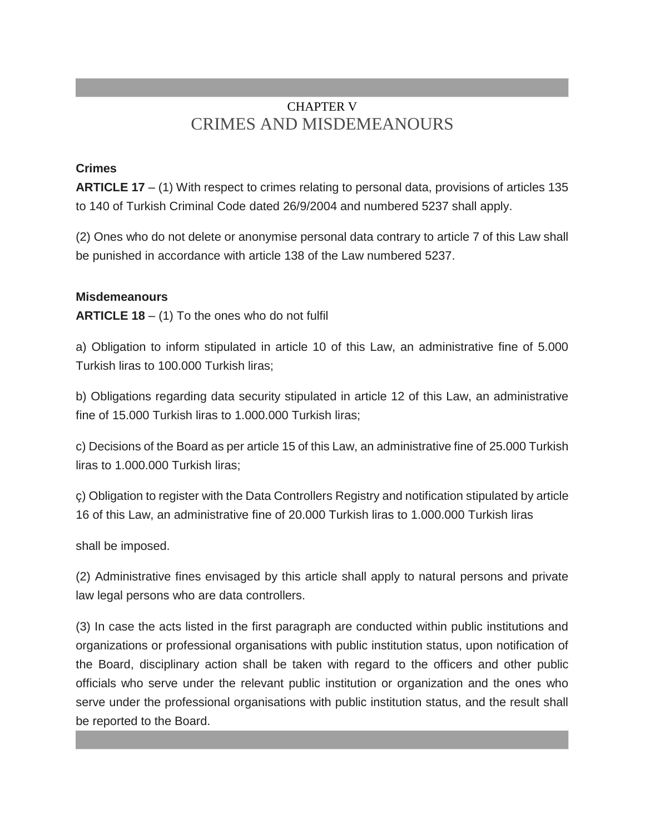# CHAPTER V CRIMES AND MISDEMEANOURS

## **Crimes**

**ARTICLE 17** – (1) With respect to crimes relating to personal data, provisions of articles 135 to 140 of Turkish Criminal Code dated 26/9/2004 and numbered 5237 shall apply.

(2) Ones who do not delete or anonymise personal data contrary to article 7 of this Law shall be punished in accordance with article 138 of the Law numbered 5237.

### **Misdemeanours**

**ARTICLE 18** – (1) To the ones who do not fulfil

a) Obligation to inform stipulated in article 10 of this Law, an administrative fine of 5.000 Turkish liras to 100.000 Turkish liras;

b) Obligations regarding data security stipulated in article 12 of this Law, an administrative fine of 15.000 Turkish liras to 1.000.000 Turkish liras;

c) Decisions of the Board as per article 15 of this Law, an administrative fine of 25.000 Turkish liras to 1.000.000 Turkish liras;

ç) Obligation to register with the Data Controllers Registry and notification stipulated by article 16 of this Law, an administrative fine of 20.000 Turkish liras to 1.000.000 Turkish liras

shall be imposed.

(2) Administrative fines envisaged by this article shall apply to natural persons and private law legal persons who are data controllers.

(3) In case the acts listed in the first paragraph are conducted within public institutions and organizations or professional organisations with public institution status, upon notification of the Board, disciplinary action shall be taken with regard to the officers and other public officials who serve under the relevant public institution or organization and the ones who serve under the professional organisations with public institution status, and the result shall be reported to the Board.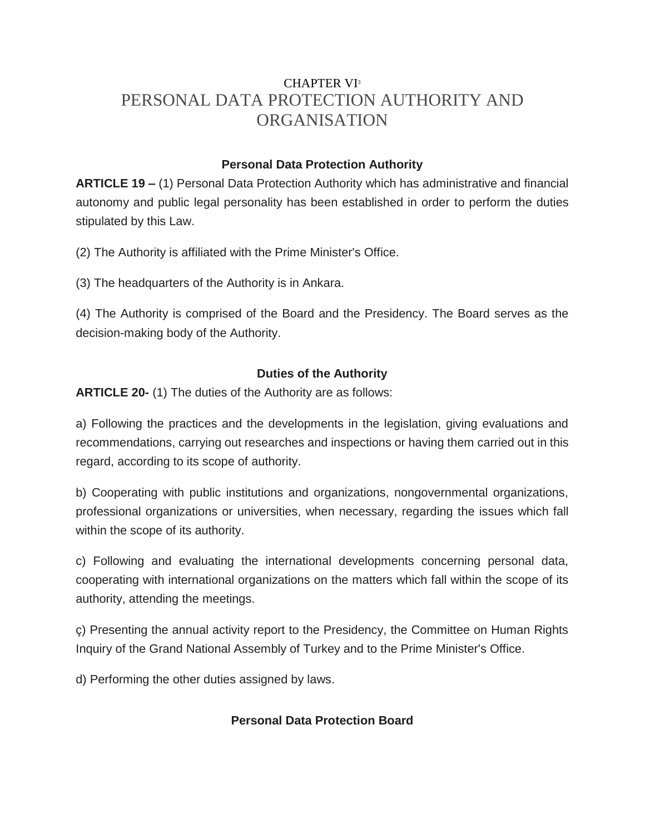# CHAPTER VI<sup>3</sup> PERSONAL DATA PROTECTION AUTHORITY AND ORGANISATION

## **Personal Data Protection Authority**

**ARTICLE 19 –** (1) Personal Data Protection Authority which has administrative and financial autonomy and public legal personality has been established in order to perform the duties stipulated by this Law.

(2) The Authority is affiliated with the Prime Minister's Office.

(3) The headquarters of the Authority is in Ankara.

(4) The Authority is comprised of the Board and the Presidency. The Board serves as the decision-making body of the Authority.

## **Duties of the Authority**

**ARTICLE 20-** (1) The duties of the Authority are as follows:

a) Following the practices and the developments in the legislation, giving evaluations and recommendations, carrying out researches and inspections or having them carried out in this regard, according to its scope of authority.

b) Cooperating with public institutions and organizations, nongovernmental organizations, professional organizations or universities, when necessary, regarding the issues which fall within the scope of its authority.

c) Following and evaluating the international developments concerning personal data, cooperating with international organizations on the matters which fall within the scope of its authority, attending the meetings.

ç) Presenting the annual activity report to the Presidency, the Committee on Human Rights Inquiry of the Grand National Assembly of Turkey and to the Prime Minister's Office.

d) Performing the other duties assigned by laws.

### **Personal Data Protection Board**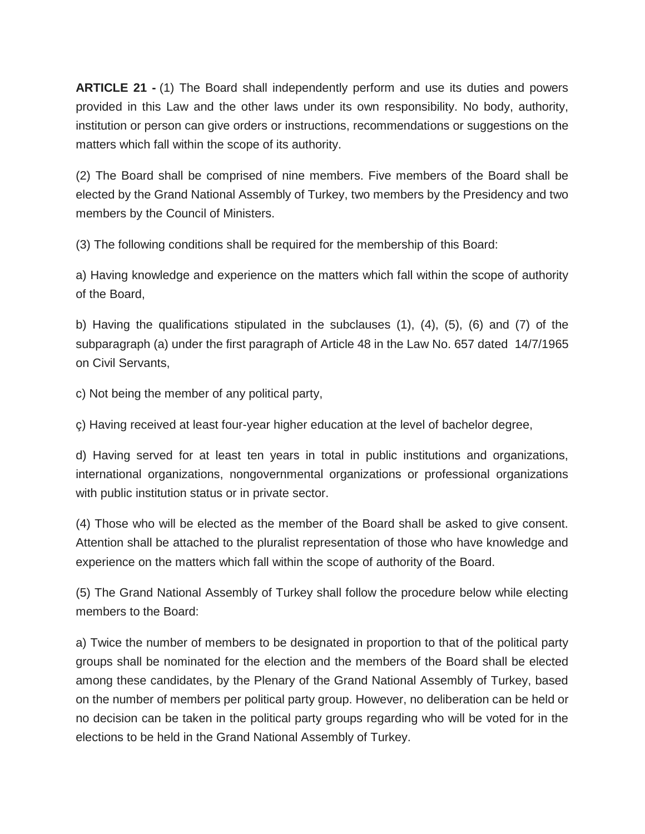**ARTICLE 21 -** (1) The Board shall independently perform and use its duties and powers provided in this Law and the other laws under its own responsibility. No body, authority, institution or person can give orders or instructions, recommendations or suggestions on the matters which fall within the scope of its authority.

(2) The Board shall be comprised of nine members. Five members of the Board shall be elected by the Grand National Assembly of Turkey, two members by the Presidency and two members by the Council of Ministers.

(3) The following conditions shall be required for the membership of this Board:

a) Having knowledge and experience on the matters which fall within the scope of authority of the Board,

b) Having the qualifications stipulated in the subclauses (1), (4), (5), (6) and (7) of the subparagraph (a) under the first paragraph of Article 48 in the Law No. 657 dated 14/7/1965 on Civil Servants,

c) Not being the member of any political party,

ç) Having received at least four-year higher education at the level of bachelor degree,

d) Having served for at least ten years in total in public institutions and organizations, international organizations, nongovernmental organizations or professional organizations with public institution status or in private sector.

(4) Those who will be elected as the member of the Board shall be asked to give consent. Attention shall be attached to the pluralist representation of those who have knowledge and experience on the matters which fall within the scope of authority of the Board.

(5) The Grand National Assembly of Turkey shall follow the procedure below while electing members to the Board:

a) Twice the number of members to be designated in proportion to that of the political party groups shall be nominated for the election and the members of the Board shall be elected among these candidates, by the Plenary of the Grand National Assembly of Turkey, based on the number of members per political party group. However, no deliberation can be held or no decision can be taken in the political party groups regarding who will be voted for in the elections to be held in the Grand National Assembly of Turkey.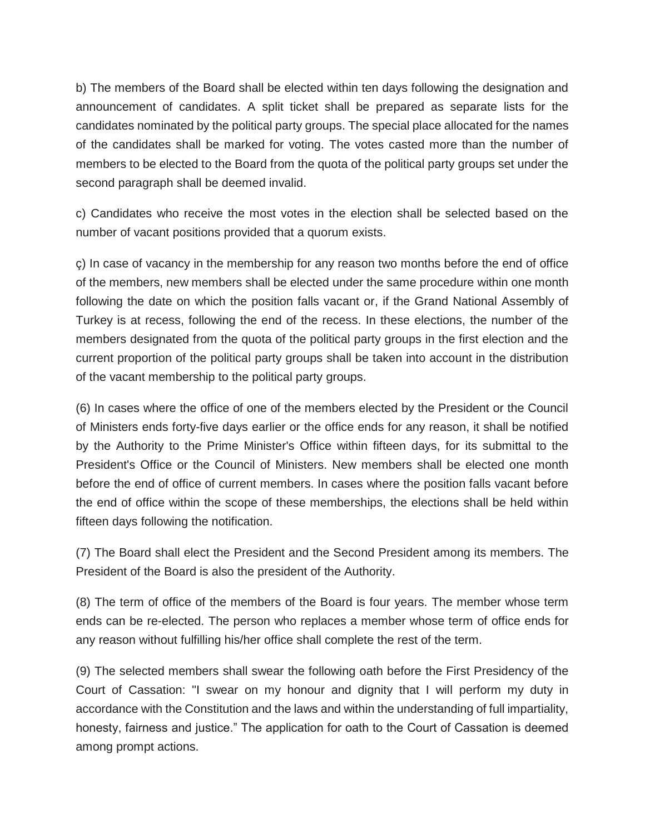b) The members of the Board shall be elected within ten days following the designation and announcement of candidates. A split ticket shall be prepared as separate lists for the candidates nominated by the political party groups. The special place allocated for the names of the candidates shall be marked for voting. The votes casted more than the number of members to be elected to the Board from the quota of the political party groups set under the second paragraph shall be deemed invalid.

c) Candidates who receive the most votes in the election shall be selected based on the number of vacant positions provided that a quorum exists.

ç) In case of vacancy in the membership for any reason two months before the end of office of the members, new members shall be elected under the same procedure within one month following the date on which the position falls vacant or, if the Grand National Assembly of Turkey is at recess, following the end of the recess. In these elections, the number of the members designated from the quota of the political party groups in the first election and the current proportion of the political party groups shall be taken into account in the distribution of the vacant membership to the political party groups.

(6) In cases where the office of one of the members elected by the President or the Council of Ministers ends forty-five days earlier or the office ends for any reason, it shall be notified by the Authority to the Prime Minister's Office within fifteen days, for its submittal to the President's Office or the Council of Ministers. New members shall be elected one month before the end of office of current members. In cases where the position falls vacant before the end of office within the scope of these memberships, the elections shall be held within fifteen days following the notification.

(7) The Board shall elect the President and the Second President among its members. The President of the Board is also the president of the Authority.

(8) The term of office of the members of the Board is four years. The member whose term ends can be re-elected. The person who replaces a member whose term of office ends for any reason without fulfilling his/her office shall complete the rest of the term.

(9) The selected members shall swear the following oath before the First Presidency of the Court of Cassation: "I swear on my honour and dignity that I will perform my duty in accordance with the Constitution and the laws and within the understanding of full impartiality, honesty, fairness and justice." The application for oath to the Court of Cassation is deemed among prompt actions.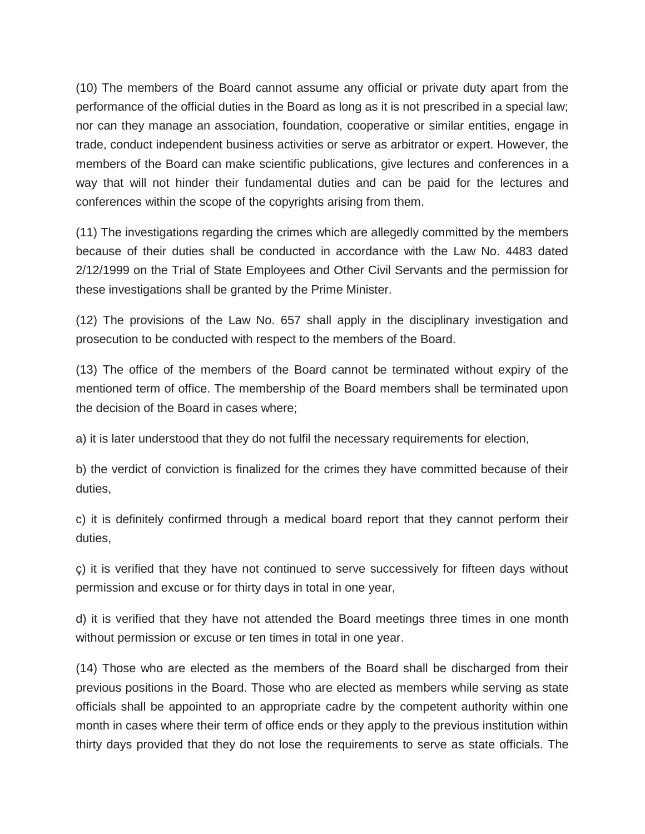(10) The members of the Board cannot assume any official or private duty apart from the performance of the official duties in the Board as long as it is not prescribed in a special law; nor can they manage an association, foundation, cooperative or similar entities, engage in trade, conduct independent business activities or serve as arbitrator or expert. However, the members of the Board can make scientific publications, give lectures and conferences in a way that will not hinder their fundamental duties and can be paid for the lectures and conferences within the scope of the copyrights arising from them.

(11) The investigations regarding the crimes which are allegedly committed by the members because of their duties shall be conducted in accordance with the Law No. 4483 dated 2/12/1999 on the Trial of State Employees and Other Civil Servants and the permission for these investigations shall be granted by the Prime Minister.

(12) The provisions of the Law No. 657 shall apply in the disciplinary investigation and prosecution to be conducted with respect to the members of the Board.

(13) The office of the members of the Board cannot be terminated without expiry of the mentioned term of office. The membership of the Board members shall be terminated upon the decision of the Board in cases where;

a) it is later understood that they do not fulfil the necessary requirements for election,

b) the verdict of conviction is finalized for the crimes they have committed because of their duties,

c) it is definitely confirmed through a medical board report that they cannot perform their duties,

ç) it is verified that they have not continued to serve successively for fifteen days without permission and excuse or for thirty days in total in one year,

d) it is verified that they have not attended the Board meetings three times in one month without permission or excuse or ten times in total in one year.

(14) Those who are elected as the members of the Board shall be discharged from their previous positions in the Board. Those who are elected as members while serving as state officials shall be appointed to an appropriate cadre by the competent authority within one month in cases where their term of office ends or they apply to the previous institution within thirty days provided that they do not lose the requirements to serve as state officials. The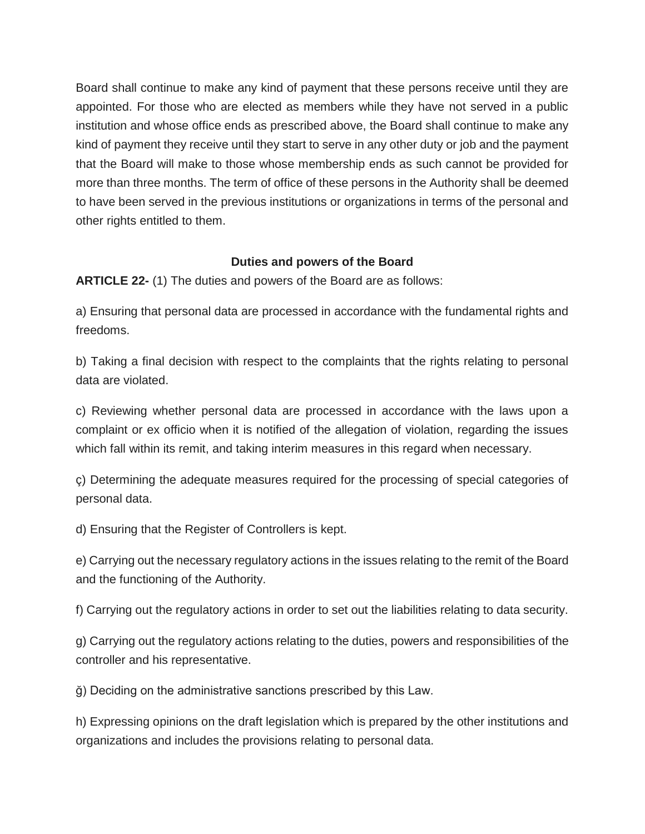Board shall continue to make any kind of payment that these persons receive until they are appointed. For those who are elected as members while they have not served in a public institution and whose office ends as prescribed above, the Board shall continue to make any kind of payment they receive until they start to serve in any other duty or job and the payment that the Board will make to those whose membership ends as such cannot be provided for more than three months. The term of office of these persons in the Authority shall be deemed to have been served in the previous institutions or organizations in terms of the personal and other rights entitled to them.

### **Duties and powers of the Board**

**ARTICLE 22-** (1) The duties and powers of the Board are as follows:

a) Ensuring that personal data are processed in accordance with the fundamental rights and freedoms.

b) Taking a final decision with respect to the complaints that the rights relating to personal data are violated.

c) Reviewing whether personal data are processed in accordance with the laws upon a complaint or ex officio when it is notified of the allegation of violation, regarding the issues which fall within its remit, and taking interim measures in this regard when necessary.

ç) Determining the adequate measures required for the processing of special categories of personal data.

d) Ensuring that the Register of Controllers is kept.

e) Carrying out the necessary regulatory actions in the issues relating to the remit of the Board and the functioning of the Authority.

f) Carrying out the regulatory actions in order to set out the liabilities relating to data security.

g) Carrying out the regulatory actions relating to the duties, powers and responsibilities of the controller and his representative.

ğ) Deciding on the administrative sanctions prescribed by this Law.

h) Expressing opinions on the draft legislation which is prepared by the other institutions and organizations and includes the provisions relating to personal data.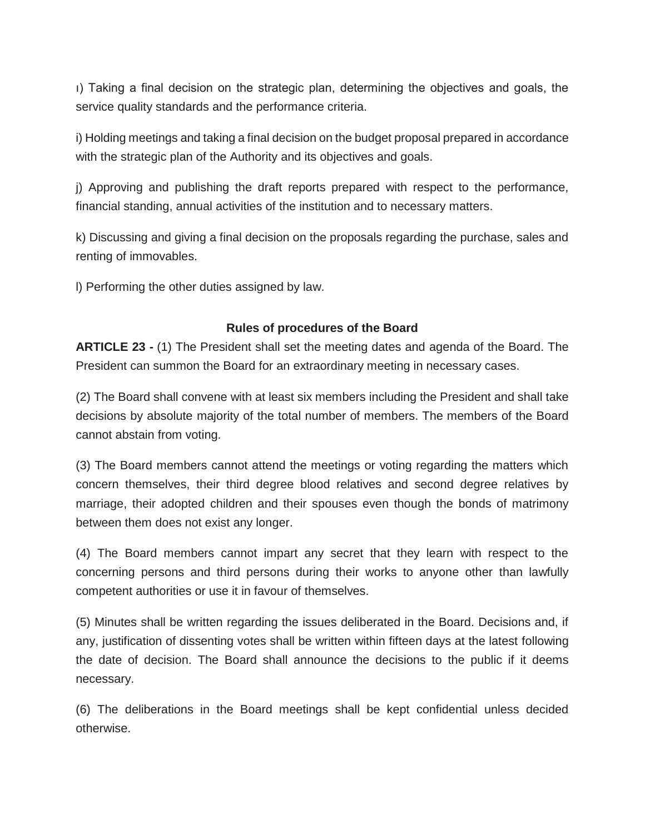ı) Taking a final decision on the strategic plan, determining the objectives and goals, the service quality standards and the performance criteria.

i) Holding meetings and taking a final decision on the budget proposal prepared in accordance with the strategic plan of the Authority and its objectives and goals.

j) Approving and publishing the draft reports prepared with respect to the performance, financial standing, annual activities of the institution and to necessary matters.

k) Discussing and giving a final decision on the proposals regarding the purchase, sales and renting of immovables.

l) Performing the other duties assigned by law.

### **Rules of procedures of the Board**

**ARTICLE 23 -** (1) The President shall set the meeting dates and agenda of the Board. The President can summon the Board for an extraordinary meeting in necessary cases.

(2) The Board shall convene with at least six members including the President and shall take decisions by absolute majority of the total number of members. The members of the Board cannot abstain from voting.

(3) The Board members cannot attend the meetings or voting regarding the matters which concern themselves, their third degree blood relatives and second degree relatives by marriage, their adopted children and their spouses even though the bonds of matrimony between them does not exist any longer.

(4) The Board members cannot impart any secret that they learn with respect to the concerning persons and third persons during their works to anyone other than lawfully competent authorities or use it in favour of themselves.

(5) Minutes shall be written regarding the issues deliberated in the Board. Decisions and, if any, justification of dissenting votes shall be written within fifteen days at the latest following the date of decision. The Board shall announce the decisions to the public if it deems necessary.

(6) The deliberations in the Board meetings shall be kept confidential unless decided otherwise.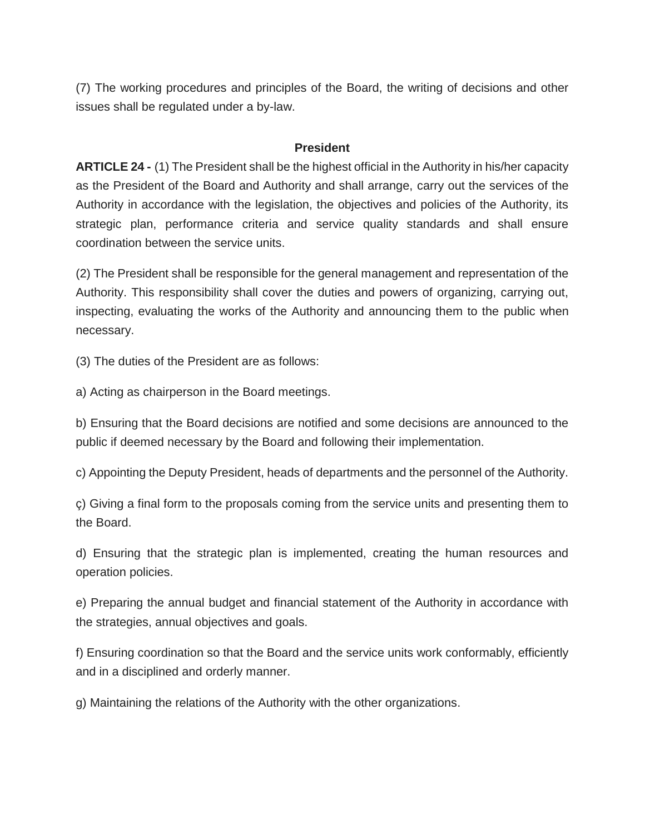(7) The working procedures and principles of the Board, the writing of decisions and other issues shall be regulated under a by-law.

#### **President**

**ARTICLE 24 -** (1) The President shall be the highest official in the Authority in his/her capacity as the President of the Board and Authority and shall arrange, carry out the services of the Authority in accordance with the legislation, the objectives and policies of the Authority, its strategic plan, performance criteria and service quality standards and shall ensure coordination between the service units.

(2) The President shall be responsible for the general management and representation of the Authority. This responsibility shall cover the duties and powers of organizing, carrying out, inspecting, evaluating the works of the Authority and announcing them to the public when necessary.

(3) The duties of the President are as follows:

a) Acting as chairperson in the Board meetings.

b) Ensuring that the Board decisions are notified and some decisions are announced to the public if deemed necessary by the Board and following their implementation.

c) Appointing the Deputy President, heads of departments and the personnel of the Authority.

ç) Giving a final form to the proposals coming from the service units and presenting them to the Board.

d) Ensuring that the strategic plan is implemented, creating the human resources and operation policies.

e) Preparing the annual budget and financial statement of the Authority in accordance with the strategies, annual objectives and goals.

f) Ensuring coordination so that the Board and the service units work conformably, efficiently and in a disciplined and orderly manner.

g) Maintaining the relations of the Authority with the other organizations.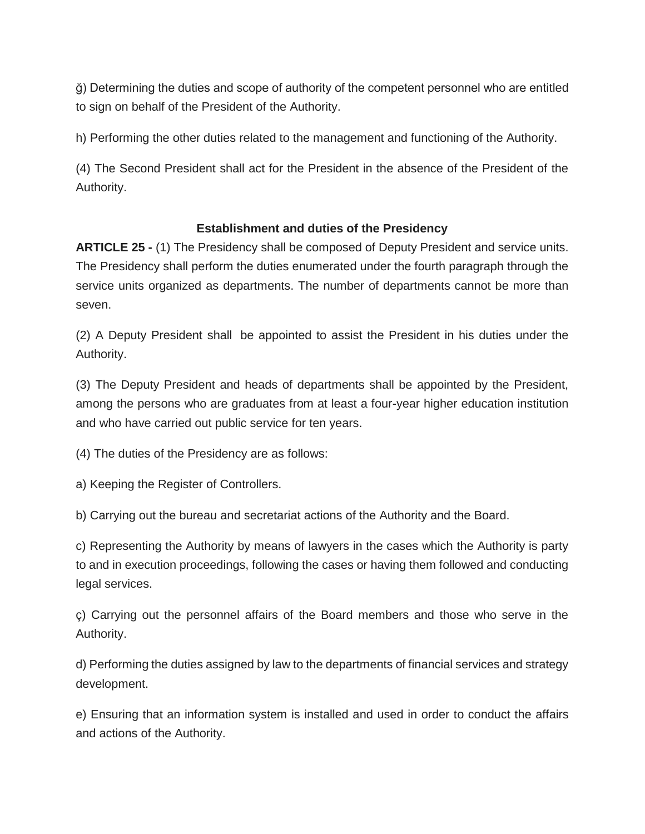ğ) Determining the duties and scope of authority of the competent personnel who are entitled to sign on behalf of the President of the Authority.

h) Performing the other duties related to the management and functioning of the Authority.

(4) The Second President shall act for the President in the absence of the President of the Authority.

### **Establishment and duties of the Presidency**

**ARTICLE 25 -** (1) The Presidency shall be composed of Deputy President and service units. The Presidency shall perform the duties enumerated under the fourth paragraph through the service units organized as departments. The number of departments cannot be more than seven.

(2) A Deputy President shall be appointed to assist the President in his duties under the Authority.

(3) The Deputy President and heads of departments shall be appointed by the President, among the persons who are graduates from at least a four-year higher education institution and who have carried out public service for ten years.

(4) The duties of the Presidency are as follows:

a) Keeping the Register of Controllers.

b) Carrying out the bureau and secretariat actions of the Authority and the Board.

c) Representing the Authority by means of lawyers in the cases which the Authority is party to and in execution proceedings, following the cases or having them followed and conducting legal services.

ç) Carrying out the personnel affairs of the Board members and those who serve in the Authority.

d) Performing the duties assigned by law to the departments of financial services and strategy development.

e) Ensuring that an information system is installed and used in order to conduct the affairs and actions of the Authority.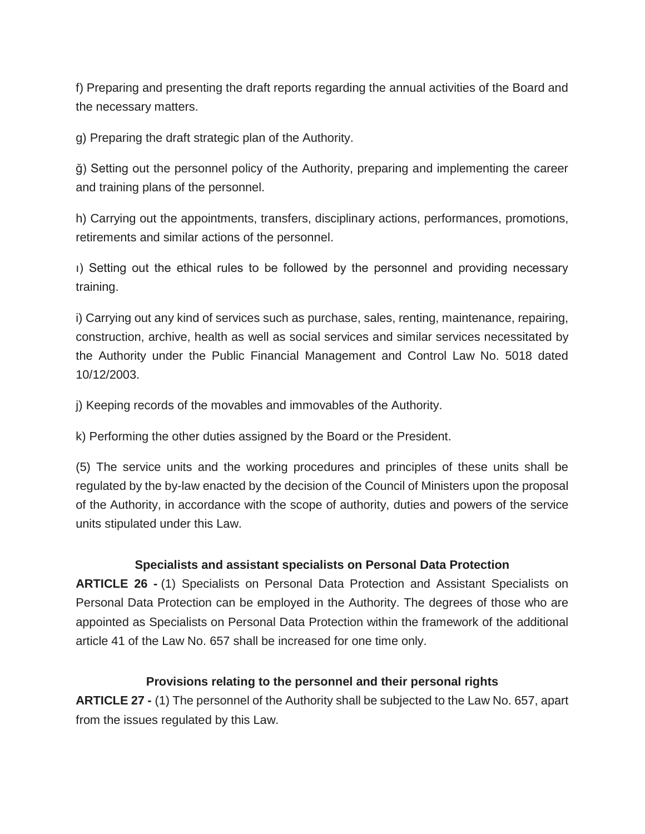f) Preparing and presenting the draft reports regarding the annual activities of the Board and the necessary matters.

g) Preparing the draft strategic plan of the Authority.

ğ) Setting out the personnel policy of the Authority, preparing and implementing the career and training plans of the personnel.

h) Carrying out the appointments, transfers, disciplinary actions, performances, promotions, retirements and similar actions of the personnel.

ı) Setting out the ethical rules to be followed by the personnel and providing necessary training.

i) Carrying out any kind of services such as purchase, sales, renting, maintenance, repairing, construction, archive, health as well as social services and similar services necessitated by the Authority under the Public Financial Management and Control Law No. 5018 dated 10/12/2003.

j) Keeping records of the movables and immovables of the Authority.

k) Performing the other duties assigned by the Board or the President.

(5) The service units and the working procedures and principles of these units shall be regulated by the by-law enacted by the decision of the Council of Ministers upon the proposal of the Authority, in accordance with the scope of authority, duties and powers of the service units stipulated under this Law.

### **Specialists and assistant specialists on Personal Data Protection**

**ARTICLE 26 -** (1) Specialists on Personal Data Protection and Assistant Specialists on Personal Data Protection can be employed in the Authority. The degrees of those who are appointed as Specialists on Personal Data Protection within the framework of the additional article 41 of the Law No. 657 shall be increased for one time only.

#### **Provisions relating to the personnel and their personal rights**

**ARTICLE 27 -** (1) The personnel of the Authority shall be subjected to the Law No. 657, apart from the issues regulated by this Law.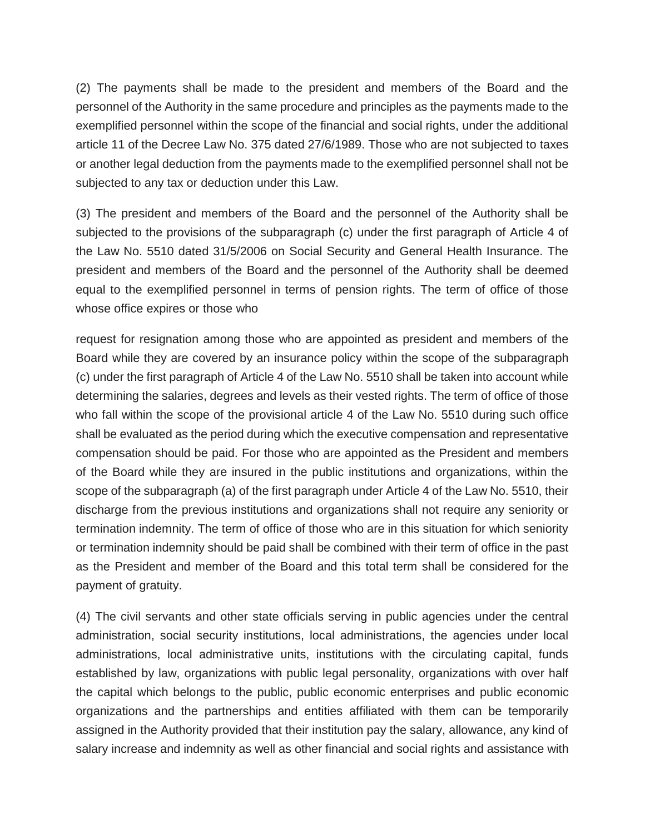(2) The payments shall be made to the president and members of the Board and the personnel of the Authority in the same procedure and principles as the payments made to the exemplified personnel within the scope of the financial and social rights, under the additional article 11 of the Decree Law No. 375 dated 27/6/1989. Those who are not subjected to taxes or another legal deduction from the payments made to the exemplified personnel shall not be subjected to any tax or deduction under this Law.

(3) The president and members of the Board and the personnel of the Authority shall be subjected to the provisions of the subparagraph (c) under the first paragraph of Article 4 of the Law No. 5510 dated 31/5/2006 on Social Security and General Health Insurance. The president and members of the Board and the personnel of the Authority shall be deemed equal to the exemplified personnel in terms of pension rights. The term of office of those whose office expires or those who

request for resignation among those who are appointed as president and members of the Board while they are covered by an insurance policy within the scope of the subparagraph (c) under the first paragraph of Article 4 of the Law No. 5510 shall be taken into account while determining the salaries, degrees and levels as their vested rights. The term of office of those who fall within the scope of the provisional article 4 of the Law No. 5510 during such office shall be evaluated as the period during which the executive compensation and representative compensation should be paid. For those who are appointed as the President and members of the Board while they are insured in the public institutions and organizations, within the scope of the subparagraph (a) of the first paragraph under Article 4 of the Law No. 5510, their discharge from the previous institutions and organizations shall not require any seniority or termination indemnity. The term of office of those who are in this situation for which seniority or termination indemnity should be paid shall be combined with their term of office in the past as the President and member of the Board and this total term shall be considered for the payment of gratuity.

(4) The civil servants and other state officials serving in public agencies under the central administration, social security institutions, local administrations, the agencies under local administrations, local administrative units, institutions with the circulating capital, funds established by law, organizations with public legal personality, organizations with over half the capital which belongs to the public, public economic enterprises and public economic organizations and the partnerships and entities affiliated with them can be temporarily assigned in the Authority provided that their institution pay the salary, allowance, any kind of salary increase and indemnity as well as other financial and social rights and assistance with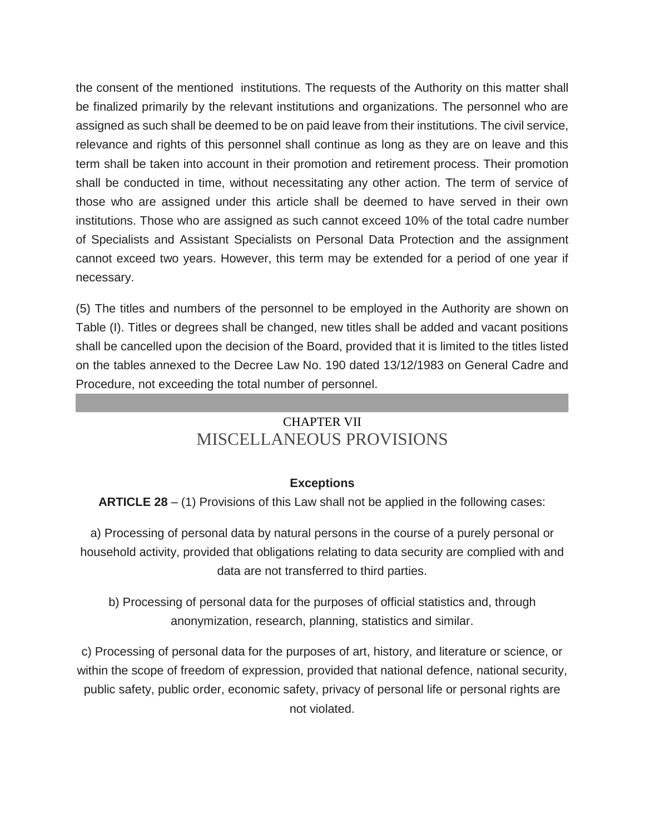the consent of the mentioned institutions. The requests of the Authority on this matter shall be finalized primarily by the relevant institutions and organizations. The personnel who are assigned as such shall be deemed to be on paid leave from their institutions. The civil service, relevance and rights of this personnel shall continue as long as they are on leave and this term shall be taken into account in their promotion and retirement process. Their promotion shall be conducted in time, without necessitating any other action. The term of service of those who are assigned under this article shall be deemed to have served in their own institutions. Those who are assigned as such cannot exceed 10% of the total cadre number of Specialists and Assistant Specialists on Personal Data Protection and the assignment cannot exceed two years. However, this term may be extended for a period of one year if necessary.

(5) The titles and numbers of the personnel to be employed in the Authority are shown on Table (I). Titles or degrees shall be changed, new titles shall be added and vacant positions shall be cancelled upon the decision of the Board, provided that it is limited to the titles listed on the tables annexed to the Decree Law No. 190 dated 13/12/1983 on General Cadre and Procedure, not exceeding the total number of personnel.

# CHAPTER VII MISCELLANEOUS PROVISIONS

### **Exceptions**

**ARTICLE 28** – (1) Provisions of this Law shall not be applied in the following cases:

a) Processing of personal data by natural persons in the course of a purely personal or household activity, provided that obligations relating to data security are complied with and data are not transferred to third parties.

b) Processing of personal data for the purposes of official statistics and, through anonymization, research, planning, statistics and similar.

c) Processing of personal data for the purposes of art, history, and literature or science, or within the scope of freedom of expression, provided that national defence, national security, public safety, public order, economic safety, privacy of personal life or personal rights are not violated.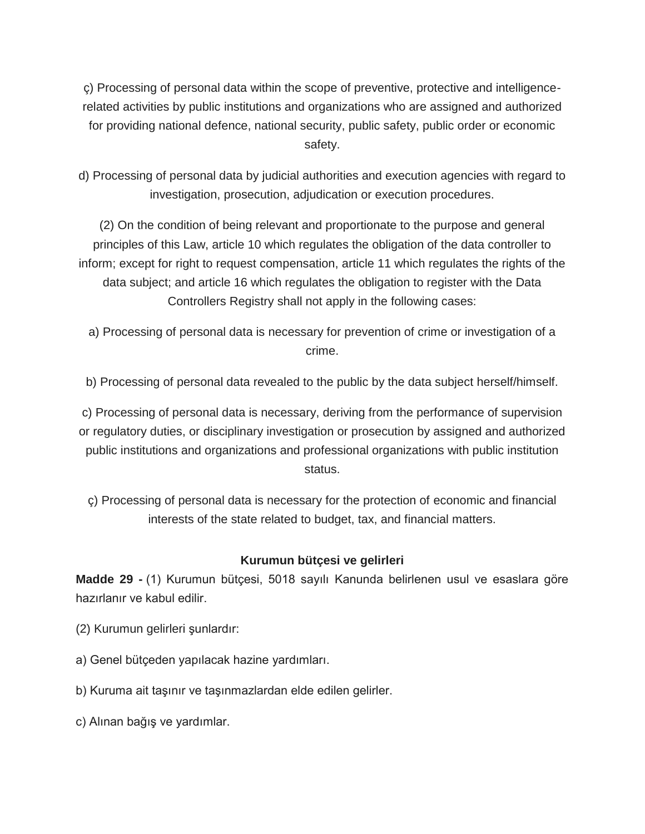ç) Processing of personal data within the scope of preventive, protective and intelligencerelated activities by public institutions and organizations who are assigned and authorized for providing national defence, national security, public safety, public order or economic safety.

d) Processing of personal data by judicial authorities and execution agencies with regard to investigation, prosecution, adjudication or execution procedures.

(2) On the condition of being relevant and proportionate to the purpose and general principles of this Law, article 10 which regulates the obligation of the data controller to inform; except for right to request compensation, article 11 which regulates the rights of the data subject; and article 16 which regulates the obligation to register with the Data Controllers Registry shall not apply in the following cases:

a) Processing of personal data is necessary for prevention of crime or investigation of a crime.

b) Processing of personal data revealed to the public by the data subject herself/himself.

c) Processing of personal data is necessary, deriving from the performance of supervision or regulatory duties, or disciplinary investigation or prosecution by assigned and authorized public institutions and organizations and professional organizations with public institution status.

ç) Processing of personal data is necessary for the protection of economic and financial interests of the state related to budget, tax, and financial matters.

### **Kurumun bütçesi ve gelirleri**

**Madde 29 -** (1) Kurumun bütçesi, 5018 sayılı Kanunda belirlenen usul ve esaslara göre hazırlanır ve kabul edilir.

- (2) Kurumun gelirleri şunlardır:
- a) Genel bütçeden yapılacak hazine yardımları.
- b) Kuruma ait taşınır ve taşınmazlardan elde edilen gelirler.
- c) Alınan bağış ve yardımlar.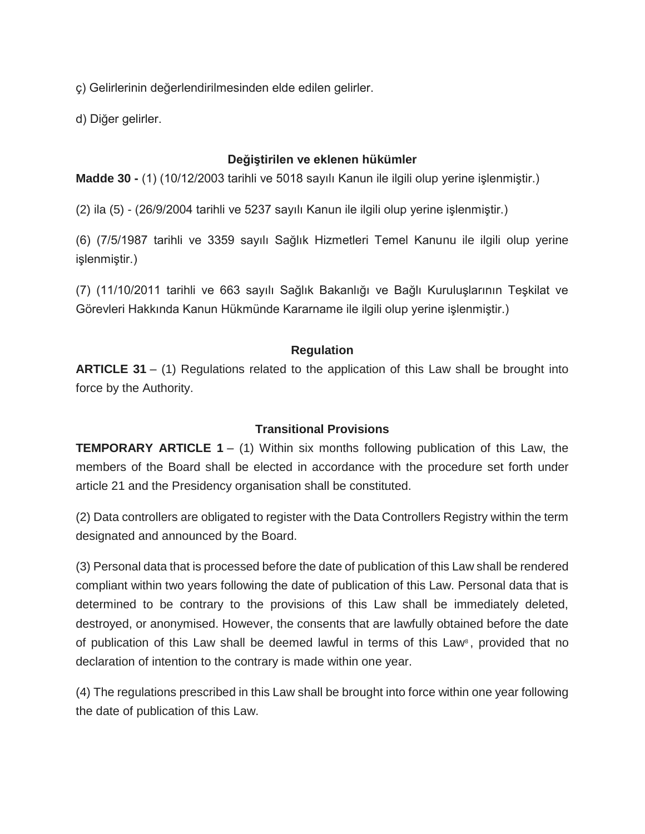ç) Gelirlerinin değerlendirilmesinden elde edilen gelirler.

d) Diğer gelirler.

## **Değiştirilen ve eklenen hükümler**

**Madde 30 -** (1) (10/12/2003 tarihli ve 5018 sayılı Kanun ile ilgili olup yerine işlenmiştir.)

(2) ila (5) - (26/9/2004 tarihli ve 5237 sayılı Kanun ile ilgili olup yerine işlenmiştir.)

(6) (7/5/1987 tarihli ve 3359 sayılı Sağlık Hizmetleri Temel Kanunu ile ilgili olup yerine işlenmiştir.)

(7) (11/10/2011 tarihli ve 663 sayılı Sağlık Bakanlığı ve Bağlı Kuruluşlarının Teşkilat ve Görevleri Hakkında Kanun Hükmünde Kararname ile ilgili olup yerine işlenmiştir.)

# **Regulation**

**ARTICLE 31** – (1) Regulations related to the application of this Law shall be brought into force by the Authority.

### **Transitional Provisions**

**TEMPORARY ARTICLE 1** – (1) Within six months following publication of this Law, the members of the Board shall be elected in accordance with the procedure set forth under article 21 and the Presidency organisation shall be constituted.

(2) Data controllers are obligated to register with the Data Controllers Registry within the term designated and announced by the Board.

(3) Personal data that is processed before the date of publication of this Law shall be rendered compliant within two years following the date of publication of this Law. Personal data that is determined to be contrary to the provisions of this Law shall be immediately deleted, destroyed, or anonymised. However, the consents that are lawfully obtained before the date of publication of this Law shall be deemed lawful in terms of this Law<sup>8</sup>, provided that no declaration of intention to the contrary is made within one year.

(4) The regulations prescribed in this Law shall be brought into force within one year following the date of publication of this Law.